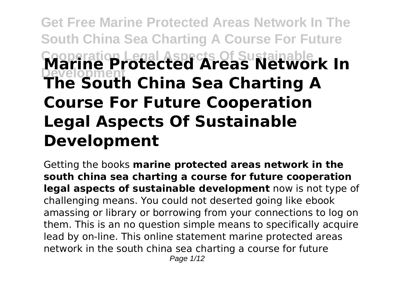# **Get Free Marine Protected Areas Network In The South China Sea Charting A Course For Future Cooperation Legal Aspects Of Sustainable Development Marine Protected Areas Network In The South China Sea Charting A Course For Future Cooperation Legal Aspects Of Sustainable Development**

Getting the books **marine protected areas network in the south china sea charting a course for future cooperation legal aspects of sustainable development** now is not type of challenging means. You could not deserted going like ebook amassing or library or borrowing from your connections to log on them. This is an no question simple means to specifically acquire lead by on-line. This online statement marine protected areas network in the south china sea charting a course for future Page 1/12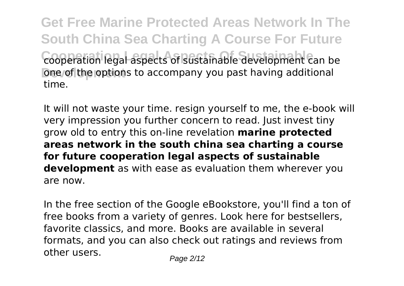**Get Free Marine Protected Areas Network In The South China Sea Charting A Course For Future Cooperation Legal Aspects Of Sustainable** cooperation legal aspects of sustainable development can be **One of the options to accompany you past having additional** time.

It will not waste your time. resign yourself to me, the e-book will very impression you further concern to read. Just invest tiny grow old to entry this on-line revelation **marine protected areas network in the south china sea charting a course for future cooperation legal aspects of sustainable development** as with ease as evaluation them wherever you are now.

In the free section of the Google eBookstore, you'll find a ton of free books from a variety of genres. Look here for bestsellers, favorite classics, and more. Books are available in several formats, and you can also check out ratings and reviews from other users. Page 2/12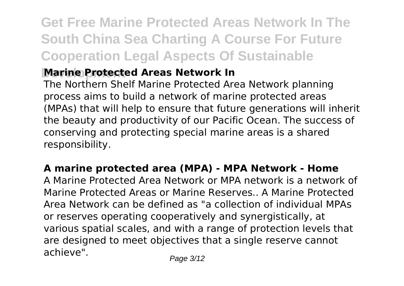## **Get Free Marine Protected Areas Network In The South China Sea Charting A Course For Future Cooperation Legal Aspects Of Sustainable**

### **Marine Protected Areas Network In**

The Northern Shelf Marine Protected Area Network planning process aims to build a network of marine protected areas (MPAs) that will help to ensure that future generations will inherit the beauty and productivity of our Pacific Ocean. The success of conserving and protecting special marine areas is a shared responsibility.

#### **A marine protected area (MPA) - MPA Network - Home**

A Marine Protected Area Network or MPA network is a network of Marine Protected Areas or Marine Reserves.. A Marine Protected Area Network can be defined as "a collection of individual MPAs or reserves operating cooperatively and synergistically, at various spatial scales, and with a range of protection levels that are designed to meet objectives that a single reserve cannot achieve".  $P_{\text{a}q} = 3/12$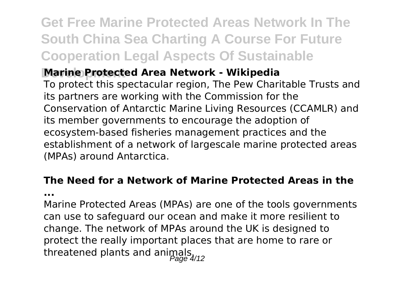## **Get Free Marine Protected Areas Network In The South China Sea Charting A Course For Future Cooperation Legal Aspects Of Sustainable**

#### **Marine Protected Area Network - Wikipedia**

To protect this spectacular region, The Pew Charitable Trusts and its partners are working with the Commission for the Conservation of Antarctic Marine Living Resources (CCAMLR) and its member governments to encourage the adoption of ecosystem-based fisheries management practices and the establishment of a network of largescale marine protected areas (MPAs) around Antarctica.

### **The Need for a Network of Marine Protected Areas in the**

**...**

Marine Protected Areas (MPAs) are one of the tools governments can use to safeguard our ocean and make it more resilient to change. The network of MPAs around the UK is designed to protect the really important places that are home to rare or threatened plants and animals.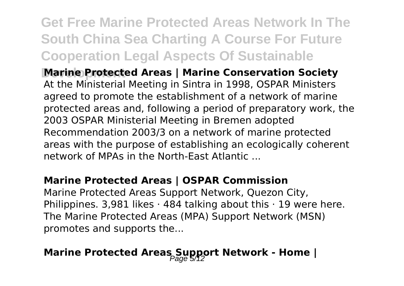## **Get Free Marine Protected Areas Network In The South China Sea Charting A Course For Future Cooperation Legal Aspects Of Sustainable**

**Marine Protected Areas | Marine Conservation Society** At the Ministerial Meeting in Sintra in 1998, OSPAR Ministers agreed to promote the establishment of a network of marine protected areas and, following a period of preparatory work, the 2003 OSPAR Ministerial Meeting in Bremen adopted Recommendation 2003/3 on a network of marine protected areas with the purpose of establishing an ecologically coherent network of MPAs in the North-East Atlantic ...

#### **Marine Protected Areas | OSPAR Commission**

Marine Protected Areas Support Network, Quezon City, Philippines. 3,981 likes  $\cdot$  484 talking about this  $\cdot$  19 were here. The Marine Protected Areas (MPA) Support Network (MSN) promotes and supports the...

## **Marine Protected Areas Support Network - Home |**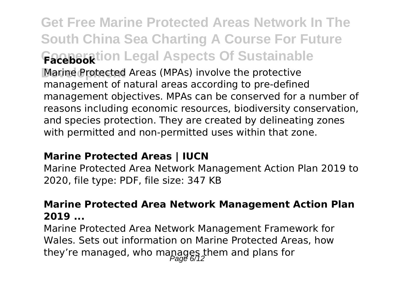**Get Free Marine Protected Areas Network In The South China Sea Charting A Course For Future Cooperation Legal Aspects Of Sustainable Facebook Marine Protected Areas (MPAs) involve the protective** management of natural areas according to pre-defined management objectives. MPAs can be conserved for a number of reasons including economic resources, biodiversity conservation, and species protection. They are created by delineating zones with permitted and non-permitted uses within that zone.

#### **Marine Protected Areas | IUCN**

Marine Protected Area Network Management Action Plan 2019 to 2020, file type: PDF, file size: 347 KB

#### **Marine Protected Area Network Management Action Plan 2019 ...**

Marine Protected Area Network Management Framework for Wales. Sets out information on Marine Protected Areas, how they're managed, who mapages them and plans for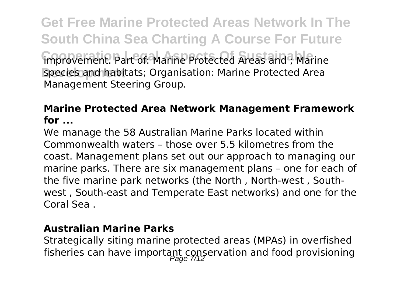**Get Free Marine Protected Areas Network In The South China Sea Charting A Course For Future** improvement. Part of: Marine Protected Areas and ; Marine species and habitats; Organisation: Marine Protected Area Management Steering Group.

#### **Marine Protected Area Network Management Framework for ...**

We manage the 58 Australian Marine Parks located within Commonwealth waters – those over 5.5 kilometres from the coast. Management plans set out our approach to managing our marine parks. There are six management plans – one for each of the five marine park networks (the North , North-west , Southwest , South-east and Temperate East networks) and one for the Coral Sea .

#### **Australian Marine Parks**

Strategically siting marine protected areas (MPAs) in overfished fisheries can have important conservation and food provisioning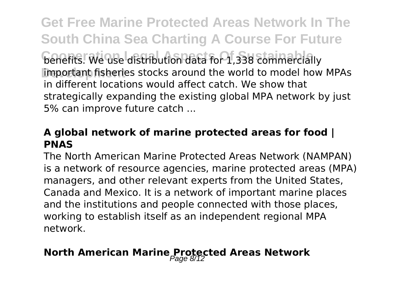**Get Free Marine Protected Areas Network In The South China Sea Charting A Course For Future Cooperation Legal Aspects Of Sustainable** benefits. We use distribution data for 1,338 commercially Important fisheries stocks around the world to model how MPAs in different locations would affect catch. We show that strategically expanding the existing global MPA network by just 5% can improve future catch ...

#### **A global network of marine protected areas for food | PNAS**

The North American Marine Protected Areas Network (NAMPAN) is a network of resource agencies, marine protected areas (MPA) managers, and other relevant experts from the United States, Canada and Mexico. It is a network of important marine places and the institutions and people connected with those places, working to establish itself as an independent regional MPA network.

### **North American Marine Protected Areas Network**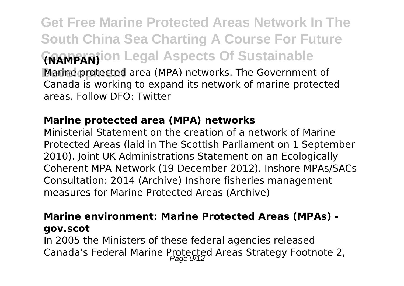**Get Free Marine Protected Areas Network In The South China Sea Charting A Course For Future Cooperation Legal Aspects Of Sustainable (NAMPAN)** Marine protected area (MPA) networks. The Government of Canada is working to expand its network of marine protected areas. Follow DFO: Twitter

#### **Marine protected area (MPA) networks**

Ministerial Statement on the creation of a network of Marine Protected Areas (laid in The Scottish Parliament on 1 September 2010). Joint UK Administrations Statement on an Ecologically Coherent MPA Network (19 December 2012). Inshore MPAs/SACs Consultation: 2014 (Archive) Inshore fisheries management measures for Marine Protected Areas (Archive)

#### **Marine environment: Marine Protected Areas (MPAs) gov.scot**

In 2005 the Ministers of these federal agencies released Canada's Federal Marine Protected Areas Strategy Footnote 2,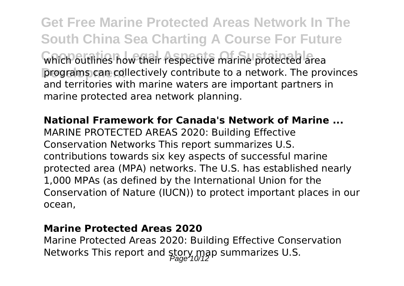**Get Free Marine Protected Areas Network In The South China Sea Charting A Course For Future** which outlines how their respective marine protected area **programs can collectively contribute to a network. The provinces** and territories with marine waters are important partners in marine protected area network planning.

**National Framework for Canada's Network of Marine ...** MARINE PROTECTED AREAS 2020: Building Effective Conservation Networks This report summarizes U.S. contributions towards six key aspects of successful marine protected area (MPA) networks. The U.S. has established nearly 1,000 MPAs (as defined by the International Union for the Conservation of Nature (IUCN)) to protect important places in our ocean,

#### **Marine Protected Areas 2020**

Marine Protected Areas 2020: Building Effective Conservation Networks This report and story map summarizes U.S.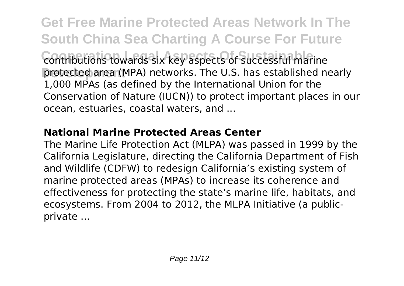**Get Free Marine Protected Areas Network In The South China Sea Charting A Course For Future** contributions towards six key aspects of successful marine protected area (MPA) networks. The U.S. has established nearly 1,000 MPAs (as defined by the International Union for the Conservation of Nature (IUCN)) to protect important places in our ocean, estuaries, coastal waters, and ...

#### **National Marine Protected Areas Center**

The Marine Life Protection Act (MLPA) was passed in 1999 by the California Legislature, directing the California Department of Fish and Wildlife (CDFW) to redesign California's existing system of marine protected areas (MPAs) to increase its coherence and effectiveness for protecting the state's marine life, habitats, and ecosystems. From 2004 to 2012, the MLPA Initiative (a publicprivate ...